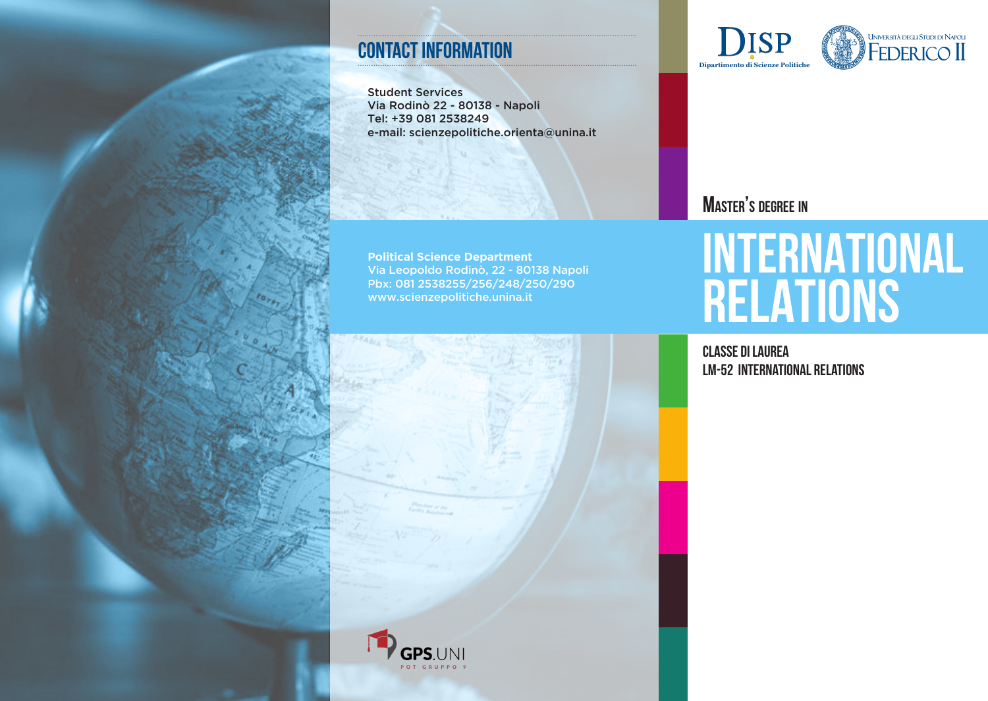#### **contact information**

Student Services Via Rodinò 22 - 80138 - Napoli Tel: +39 081 2538249 e-mail: scienzepolitiche.orienta@unina.it

**Political Science Department** Via Leopoldo Rodinò, 22 - 80138 Napoli Pbx: 081 2538255/256/248/250/290 www.scienzepolitiche.unina.it





### **Master's degree in**

# **INTERNATIONAL RELATIONS**

Classe di Laurea LM-52 International relations